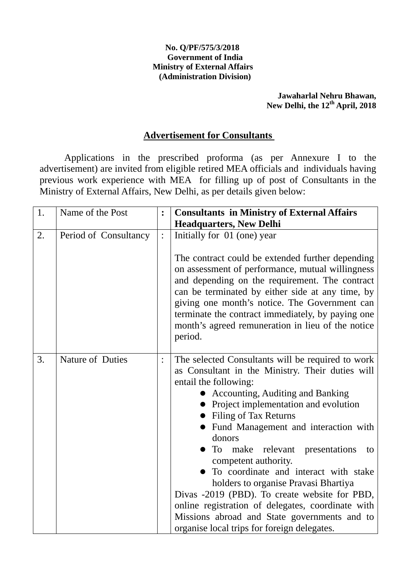#### **No. Q/PF/575/3/2018 Government of India Ministry of External Affairs (Administration Division)**

### **Jawaharlal Nehru Bhawan, New Delhi, the 12th April, 2018**

### **Advertisement for Consultants**

 Applications in the prescribed proforma (as per Annexure I to the advertisement) are invited from eligible retired MEA officials and individuals having previous work experience with MEA for filling up of post of Consultants in the Ministry of External Affairs, New Delhi, as per details given below:

| 1. | Name of the Post      | $\ddot{\cdot}$ | <b>Consultants in Ministry of External Affairs</b><br><b>Headquarters, New Delhi</b>                                                                                                                                                                                                                                                                                                                                                                                                                                                                                                                                                                       |
|----|-----------------------|----------------|------------------------------------------------------------------------------------------------------------------------------------------------------------------------------------------------------------------------------------------------------------------------------------------------------------------------------------------------------------------------------------------------------------------------------------------------------------------------------------------------------------------------------------------------------------------------------------------------------------------------------------------------------------|
| 2. | Period of Consultancy | $\ddot{\cdot}$ | Initially for 01 (one) year<br>The contract could be extended further depending<br>on assessment of performance, mutual willingness<br>and depending on the requirement. The contract<br>can be terminated by either side at any time, by<br>giving one month's notice. The Government can<br>terminate the contract immediately, by paying one<br>month's agreed remuneration in lieu of the notice<br>period.                                                                                                                                                                                                                                            |
| 3. | Nature of Duties      | $\ddot{\cdot}$ | The selected Consultants will be required to work<br>as Consultant in the Ministry. Their duties will<br>entail the following:<br><b>Accounting, Auditing and Banking</b><br>Project implementation and evolution<br>• Filing of Tax Returns<br>Fund Management and interaction with<br>donors<br>To<br>make relevant<br>presentations<br>to<br>competent authority.<br>To coordinate and interact with stake<br>holders to organise Pravasi Bhartiya<br>Divas -2019 (PBD). To create website for PBD,<br>online registration of delegates, coordinate with<br>Missions abroad and State governments and to<br>organise local trips for foreign delegates. |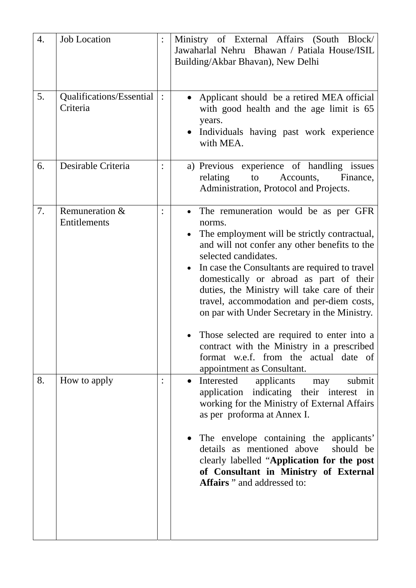| 4. | <b>Job Location</b>                  |                | Ministry of External Affairs (South Block/<br>Jawaharlal Nehru Bhawan / Patiala House/ISIL<br>Building/Akbar Bhavan), New Delhi                                                                                                                                                                                                                                                                                                                                                                                                                                                       |
|----|--------------------------------------|----------------|---------------------------------------------------------------------------------------------------------------------------------------------------------------------------------------------------------------------------------------------------------------------------------------------------------------------------------------------------------------------------------------------------------------------------------------------------------------------------------------------------------------------------------------------------------------------------------------|
| 5. | Qualifications/Essential<br>Criteria | $\ddot{\cdot}$ | Applicant should be a retired MEA official<br>with good health and the age limit is 65<br>years.<br>Individuals having past work experience<br>with MEA.                                                                                                                                                                                                                                                                                                                                                                                                                              |
| 6. | Desirable Criteria                   |                | a) Previous experience of handling issues<br>relating<br>Accounts, Finance,<br>to<br>Administration, Protocol and Projects.                                                                                                                                                                                                                                                                                                                                                                                                                                                           |
| 7. | Remuneration &<br>Entitlements       |                | The remuneration would be as per GFR<br>norms.<br>The employment will be strictly contractual,<br>and will not confer any other benefits to the<br>selected candidates.<br>In case the Consultants are required to travel<br>domestically or abroad as part of their<br>duties, the Ministry will take care of their<br>travel, accommodation and per-diem costs,<br>on par with Under Secretary in the Ministry.<br>Those selected are required to enter into a<br>contract with the Ministry in a prescribed<br>format w.e.f. from the actual date of<br>appointment as Consultant. |
| 8. | How to apply                         |                | Interested<br>applicants may<br>submit<br>$\bullet$<br>application indicating their interest in<br>working for the Ministry of External Affairs<br>as per proforma at Annex I.<br>The envelope containing the applicants'<br>details as mentioned above<br>should be<br>clearly labelled "Application for the post<br>of Consultant in Ministry of External<br>Affairs " and addressed to:                                                                                                                                                                                            |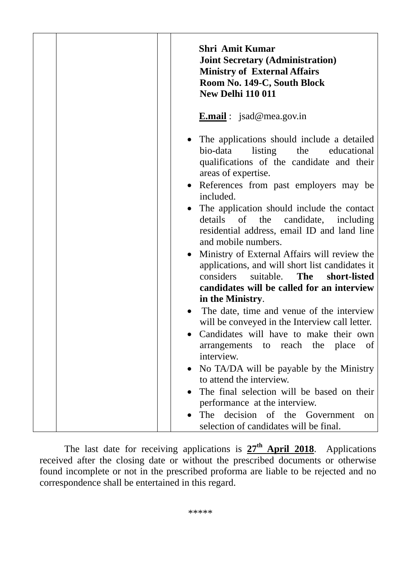|  |  | <b>Shri Amit Kumar</b><br><b>Joint Secretary (Administration)</b><br><b>Ministry of External Affairs</b><br>Room No. 149-C, South Block<br><b>New Delhi 110 011</b>                                                                                                                                                                                                                                                                                                                                                                                                                                                                             |
|--|--|-------------------------------------------------------------------------------------------------------------------------------------------------------------------------------------------------------------------------------------------------------------------------------------------------------------------------------------------------------------------------------------------------------------------------------------------------------------------------------------------------------------------------------------------------------------------------------------------------------------------------------------------------|
|  |  | <b>E.mail</b> : jsad@mea.gov.in                                                                                                                                                                                                                                                                                                                                                                                                                                                                                                                                                                                                                 |
|  |  | The applications should include a detailed<br>bio-data<br>listing<br>educational<br>the<br>qualifications of the candidate and their<br>areas of expertise.<br>References from past employers may be<br>included.<br>The application should include the contact<br>details of the candidate, including<br>residential address, email ID and land line<br>and mobile numbers.<br>Ministry of External Affairs will review the<br>applications, and will short list candidates it<br>considers<br>suitable.<br>The<br>short-listed<br>candidates will be called for an interview<br>in the Ministry.<br>The date, time and venue of the interview |
|  |  | will be conveyed in the Interview call letter.<br>Candidates will have to make their own                                                                                                                                                                                                                                                                                                                                                                                                                                                                                                                                                        |
|  |  | arrangements to reach the place of<br>interview.                                                                                                                                                                                                                                                                                                                                                                                                                                                                                                                                                                                                |
|  |  | No TA/DA will be payable by the Ministry<br>to attend the interview.                                                                                                                                                                                                                                                                                                                                                                                                                                                                                                                                                                            |
|  |  | The final selection will be based on their                                                                                                                                                                                                                                                                                                                                                                                                                                                                                                                                                                                                      |
|  |  | performance at the interview.                                                                                                                                                                                                                                                                                                                                                                                                                                                                                                                                                                                                                   |
|  |  | decision<br>The<br>of the Government<br>on<br>selection of candidates will be final.                                                                                                                                                                                                                                                                                                                                                                                                                                                                                                                                                            |

 The last date for receiving applications is **27th April 2018**. Applications received after the closing date or without the prescribed documents or otherwise found incomplete or not in the prescribed proforma are liable to be rejected and no correspondence shall be entertained in this regard.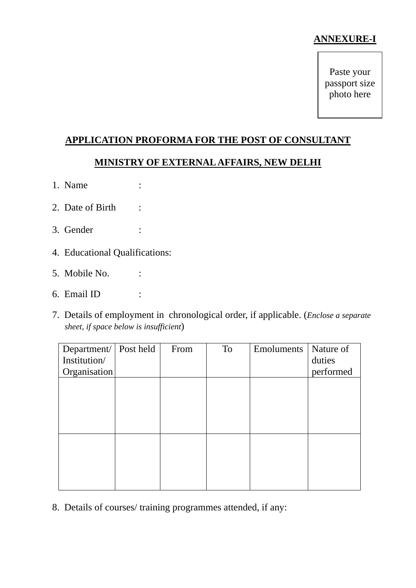## **ANNEXURE-I**

Paste your passport size photo here

# **APPLICATION PROFORMA FOR THE POST OF CONSULTANT**

## **MINISTRY OF EXTERNAL AFFAIRS, NEW DELHI**

- 1. Name :
- 2. Date of Birth :
- 3. Gender :
- 4. Educational Qualifications:
- 5. Mobile No. :
- 6. Email ID :
- 7. Details of employment in chronological order, if applicable. (*Enclose a separate sheet, if space below is insufficient*)

| Department/ Post held | From | To | Emoluments | Nature of |
|-----------------------|------|----|------------|-----------|
| Institution/          |      |    |            | duties    |
| Organisation          |      |    |            | performed |
|                       |      |    |            |           |
|                       |      |    |            |           |
|                       |      |    |            |           |
|                       |      |    |            |           |
|                       |      |    |            |           |
|                       |      |    |            |           |
|                       |      |    |            |           |
|                       |      |    |            |           |
|                       |      |    |            |           |
|                       |      |    |            |           |

8. Details of courses/ training programmes attended, if any: